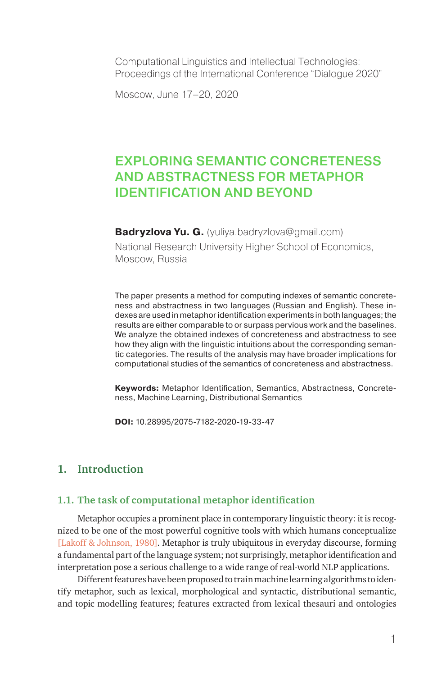Computational Linguistics and Intellectual Technologies: Proceedings of the International Conference "Dialogue 2020"

Moscow, June 17–20, 2020

# EXPLORING SEMANTIC CONCRETENESS AND ABSTRACTNESS FOR METAPHOR IDENTIFICATION AND BEYOND

**Badryzlova Yu. G.** (yuliya.badryzlova@gmail.com)

National Research University Higher School of Economics, Moscow, Russia

The paper presents a method for computing indexes of semantic concreteness and abstractness in two languages (Russian and English). These indexes are used in metaphor identification experiments in both languages; the results are either comparable to or surpass pervious work and the baselines. We analyze the obtained indexes of concreteness and abstractness to see how they align with the linguistic intuitions about the corresponding semantic categories. The results of the analysis may have broader implications for computational studies of the semantics of concreteness and abstractness.

**Keywords:** Metaphor Identification, Semantics, Abstractness, Concreteness, Machine Learning, Distributional Semantics

**DOI:** 10.28995/2075-7182-2020-19-33-47

### **1. Introduction**

#### **1.1. The task of computational metaphor identification**

Metaphor occupies a prominent place in contemporary linguistic theory: it is recognized to be one of the most powerful cognitive tools with which humans conceptualize [Lakoff & Johnson, 1980]. Metaphor is truly ubiquitous in everyday discourse, forming a fundamental part of the language system; not surprisingly, metaphor identification and interpretation pose a serious challenge to a wide range of real-world NLP applications.

Different features have been proposed to train machine learning algorithms to identify metaphor, such as lexical, morphological and syntactic, distributional semantic, and topic modelling features; features extracted from lexical thesauri and ontologies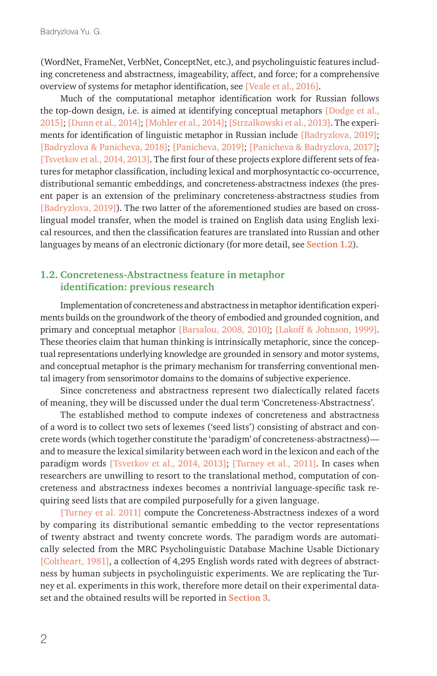(WordNet, FrameNet, VerbNet, ConceptNet, etc.), and psycholinguistic features including concreteness and abstractness, imageability, affect, and force; for a comprehensive overview of systems for metaphor identification, see [Veale et al., 2016].

Much of the computational metaphor identification work for Russian follows the top-down design, i.e. is aimed at identifying conceptual metaphors [Dodge et al., 2015]; [Dunn et al., 2014]; [Mohler et al., 2014]; [Strzalkowski et al., 2013]. The experiments for identification of linguistic metaphor in Russian include [Badryzlova, 2019]; [Badryzlova & Panicheva, 2018]; [Panicheva, 2019]; [Panicheva & Badryzlova, 2017]; [Tsvetkov et al., 2014, 2013]. The first four of these projects explore different sets of features for metaphor classification, including lexical and morphosyntactic co-occurrence, distributional semantic embeddings, and concreteness-abstractness indexes (the present paper is an extension of the preliminary concreteness-abstractness studies from [Badryzlova, 2019]). The two latter of the aforementioned studies are based on crosslingual model transfer, when the model is trained on English data using English lexical resources, and then the classification features are translated into Russian and other languages by means of an electronic dictionary (for more detail, see **Section 1.2**).

#### **1.2. Concreteness-Abstractness feature in metaphor identification: previous research**

Implementation of concreteness and abstractness in metaphor identification experiments builds on the groundwork of the theory of embodied and grounded cognition, and primary and conceptual metaphor [Barsalou, 2008, 2010]; [Lakoff & Johnson, 1999]. These theories claim that human thinking is intrinsically metaphoric, since the conceptual representations underlying knowledge are grounded in sensory and motor systems, and conceptual metaphor is the primary mechanism for transferring conventional mental imagery from sensorimotor domains to the domains of subjective experience.

Since concreteness and abstractness represent two dialectically related facets of meaning, they will be discussed under the dual term 'Сoncreteness-Abstractness'.

The established method to compute indexes of concreteness and abstractness of a word is to collect two sets of lexemes ('seed lists') consisting of abstract and concrete words (which together constitute the 'paradigm' of concreteness-abstractness) and to measure the lexical similarity between each word in the lexicon and each of the paradigm words [Tsvetkov et al., 2014, 2013]; [Turney et al., 2011]. In cases when researchers are unwilling to resort to the translational method, computation of concreteness and abstractness indexes becomes a nontrivial language-specific task requiring seed lists that are compiled purposefully for a given language.

[Turney et al. 2011] compute the Concreteness-Abstractness indexes of a word by comparing its distributional semantic embedding to the vector representations of twenty abstract and twenty concrete words. The paradigm words are automatically selected from the MRC Psycholinguistic Database Machine Usable Dictionary [Coltheart, 1981], a collection of 4,295 English words rated with degrees of abstractness by human subjects in psycholinguistic experiments. We are replicating the Turney et al. experiments in this work, therefore more detail on their experimental dataset and the obtained results will be reported in **Section 3**.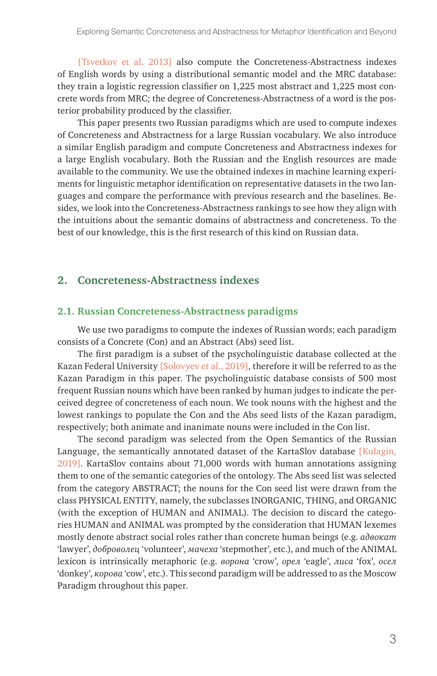[Tsvetkov et al. 2013] also compute the Concreteness-Abstractness indexes of English words by using a distributional semantic model and the MRC database: they train a logistic regression classifier on 1,225 most abstract and 1,225 most concrete words from MRC; the degree of Concreteness-Abstractness of a word is the posterior probability produced by the classifier.

This paper presents two Russian paradigms which are used to compute indexes of Concreteness and Abstractness for a large Russian vocabulary. We also introduce a similar English paradigm and compute Concreteness and Abstractness indexes for a large English vocabulary. Both the Russian and the English resources are made available to the community. We use the obtained indexes in machine learning experiments for linguistic metaphor identification on representative datasets in the two languages and compare the performance with previous research and the baselines. Besides, we look into the Concreteness-Abstractness rankings to see how they align with the intuitions about the semantic domains of abstractness and concreteness. To the best of our knowledge, this is the first research of this kind on Russian data.

### **2. Concreteness-Abstractness indexes**

#### **2.1. Russian Concreteness-Abstractness paradigms**

We use two paradigms to compute the indexes of Russian words; each paradigm consists of a Concrete (Con) and an Abstract (Abs) seed list.

The first paradigm is a subset of the psycholinguistic database collected at the Kazan Federal University [Solovyev et al., 2019], therefore it will be referred to as the Kazan Paradigm in this paper. The psycholinguistic database consists of 500 most frequent Russian nouns which have been ranked by human judges to indicate the perceived degree of concreteness of each noun. We took nouns with the highest and the lowest rankings to populate the Con and the Abs seed lists of the Kazan paradigm, respectively; both animate and inanimate nouns were included in the Con list.

The second paradigm was selected from the Open Semantics of the Russian Language, the semantically annotated dataset of the KartaSlov database [Kulagin, 2019]. KartaSlov contains about 71,000 words with human annotations assigning them to one of the semantic categories of the ontology. The Abs seed list was selected from the category ABSTRACT; the nouns for the Con seed list were drawn from the class PHYSICAL ENTITY, namely, the subclasses INORGANIC, THING, and ORGANIC (with the exception of HUMAN and ANIMAL). The decision to discard the categories HUMAN and ANIMAL was prompted by the consideration that HUMAN lexemes mostly denote abstract social roles rather than concrete human beings (e.g. *адвокат* 'lawyer', *доброволец* 'volunteer', *мачеха* 'stepmother', etc.), and much of the ANIMAL lexicon is intrinsically metaphoric (e.g. *ворона* 'crow', *орел* 'eagle', *лиса* 'fox', *осел* 'donkey', *корова* 'cow', etc.). This second paradigm will be addressed to as the Moscow Paradigm throughout this paper.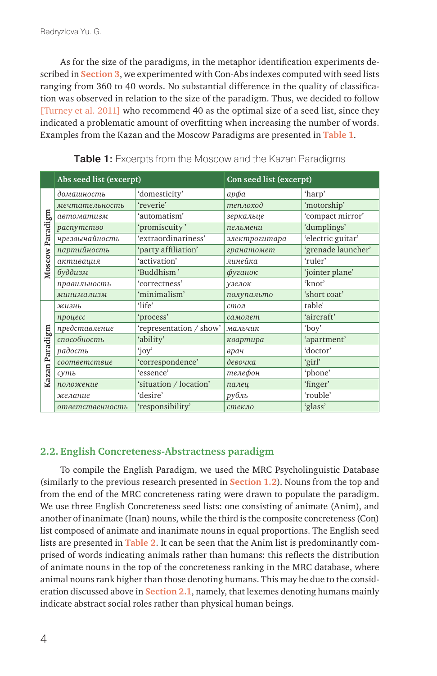As for the size of the paradigms, in the metaphor identification experiments described in **Section 3**, we experimented with Con-Abs indexes computed with seed lists ranging from 360 to 40 words. No substantial difference in the quality of classification was observed in relation to the size of the paradigm. Thus, we decided to follow [Turney et al. 2011] who recommend 40 as the optimal size of a seed list, since they indicated a problematic amount of overfitting when increasing the number of words. Examples from the Kazan and the Moscow Paradigms are presented in **Table 1**.

|                 | Abs seed list (excerpt)             |                         | Con seed list (excerpt) |                    |  |
|-----------------|-------------------------------------|-------------------------|-------------------------|--------------------|--|
|                 | домашность                          | 'domesticity'           | арфа                    | 'harp'             |  |
|                 | мечтательность                      | 'reverie'               | теплоход                | 'motorship'        |  |
| Moscow Paradigm | автоматизм                          | 'automatism'            | зеркальце               | 'compact mirror'   |  |
|                 | распутство                          | 'promiscuity'           | пельмени                | 'dumplings'        |  |
|                 | чрезвычайность                      | 'extraordinariness'     | электрогитара           | 'electric guitar'  |  |
|                 | партийность                         | 'party affiliation'     | гранатомет              | 'grenade launcher' |  |
|                 | активация                           | 'activation'            | линейка                 | 'ruler'            |  |
|                 | буддизм                             | 'Buddhism'              | фуганок                 | 'jointer plane'    |  |
|                 | правильность                        | 'correctness'           | үзелок                  | 'knot'             |  |
|                 | минимализм                          | 'minimalism'            | полупальто              | 'short coat'       |  |
|                 | жизнь                               | 'life'                  | $cm$ <sup>O</sup> $7$   | table'             |  |
|                 | процесс                             | 'process'               | самолет                 | 'aircraft'         |  |
|                 | представление                       | 'representation / show' | мальчик                 | 'boy'              |  |
| Kazan Paradigm  | способность                         | 'ability'               | квартира                | 'apartment'        |  |
|                 | радость                             | 'joy'                   | врач                    | 'doctor'           |  |
|                 | соответствие                        | 'correspondence'        | девочка                 | 'girl'             |  |
|                 | суть                                | 'essence'               | телефон                 | 'phone'            |  |
|                 | положение                           | 'situation / location'  | палец                   | 'finger'           |  |
|                 | желание                             | 'desire'                | рубль                   | 'rouble'           |  |
|                 | 'responsibility'<br>ответственность |                         | стекло                  | 'glass'            |  |

Table 1: Excerpts from the Moscow and the Kazan Paradigms

#### **2.2. English Concreteness-Abstractness paradigm**

To compile the English Paradigm, we used the MRC Psycholinguistic Database (similarly to the previous research presented in **Section 1.2**). Nouns from the top and from the end of the MRC concreteness rating were drawn to populate the paradigm. We use three English Concreteness seed lists: one consisting of animate (Anim), and another of inanimate (Inan) nouns, while the third is the composite concreteness (Con) list composed of animate and inanimate nouns in equal proportions. The English seed lists are presented in **Table 2**. It can be seen that the Anim list is predominantly comprised of words indicating animals rather than humans: this reflects the distribution of animate nouns in the top of the concreteness ranking in the MRC database, where animal nouns rank higher than those denoting humans. This may be due to the consideration discussed above in **Section 2.1**, namely, that lexemes denoting humans mainly indicate abstract social roles rather than physical human beings.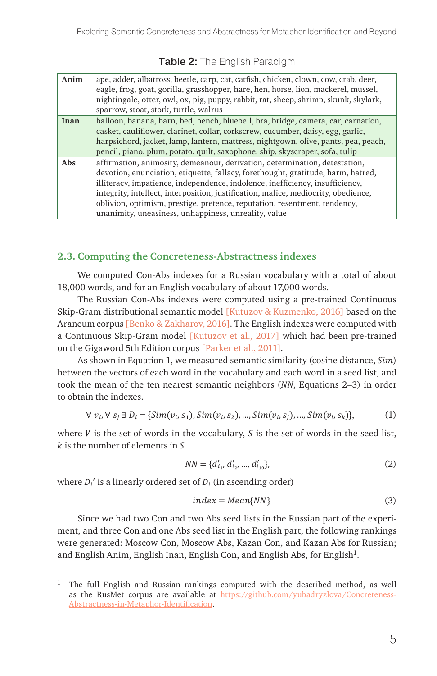| Anim | ape, adder, albatross, beetle, carp, cat, catfish, chicken, clown, cow, crab, deer,<br>eagle, frog, goat, gorilla, grasshopper, hare, hen, horse, lion, mackerel, mussel,<br>nightingale, otter, owl, ox, pig, puppy, rabbit, rat, sheep, shrimp, skunk, skylark,<br>sparrow, stoat, stork, turtle, walrus |
|------|------------------------------------------------------------------------------------------------------------------------------------------------------------------------------------------------------------------------------------------------------------------------------------------------------------|
| Inan | balloon, banana, barn, bed, bench, bluebell, bra, bridge, camera, car, carnation,                                                                                                                                                                                                                          |
|      | casket, cauliflower, clarinet, collar, corkscrew, cucumber, daisy, egg, garlic,                                                                                                                                                                                                                            |
|      | harpsichord, jacket, lamp, lantern, mattress, nightgown, olive, pants, pea, peach,                                                                                                                                                                                                                         |
|      | pencil, piano, plum, potato, quilt, saxophone, ship, skyscraper, sofa, tulip                                                                                                                                                                                                                               |
| Abs  | affirmation, animosity, demeanour, derivation, determination, detestation,                                                                                                                                                                                                                                 |
|      | devotion, enunciation, etiquette, fallacy, forethought, gratitude, harm, hatred,                                                                                                                                                                                                                           |
|      | illiteracy, impatience, independence, indolence, inefficiency, insufficiency,                                                                                                                                                                                                                              |
|      | integrity, intellect, interposition, justification, malice, mediocrity, obedience,                                                                                                                                                                                                                         |
|      | oblivion, optimism, prestige, pretence, reputation, resentment, tendency,                                                                                                                                                                                                                                  |
|      | unanimity, uneasiness, unhappiness, unreality, value                                                                                                                                                                                                                                                       |

## Table 2: The English Paradigm

#### **2.3. Computing the Concreteness-Abstractness indexes**

We computed Con-Abs indexes for a Russian vocabulary with a total of about 18,000 words, and for an English vocabulary of about 17,000 words.

The Russian Con-Abs indexes were computed using a pre-trained Continuous Skip-Gram distributional semantic model [Kutuzov & Kuzmenko, 2016] based on the Araneum corpus [Benko & Zakharov, 2016]. The English indexes were computed with a Continuous Skip-Gram model [Kutuzov et al., 2017] which had been pre-trained on the Gigaword 5th Edition corpus [Parker et al., 2011].

As shown in Equation 1, we measured semantic similarity (cosine distance,  $Sim$ ) between the vectors of each word in the vocabulary and each word in a seed list, and took the mean of the ten nearest semantic neighbors  $(NN)$ , Equations 2–3) in order to obtain the indexes.

$$
\forall v_i, \forall s_j \exists D_i = \{Sim(v_i, s_1), Sim(v_i, s_2), ..., Sim(v_i, s_j), ..., Sim(v_i, s_k)\},
$$
 (1)

where  $V$  is the set of words in the vocabulary,  $S$  is the set of words in the seed list,  $k$  is the number of elements in  $S$ 

$$
NN = \{d'_{i_1}, d'_{i_2}, ..., d'_{i_{10}}\},\tag{2}
$$

where  $D_i$ ' is a linearly ordered set of  $D_i$  (in ascending order)

$$
index = Mean\{NN\} \tag{3}
$$

Since we had two Con and two Abs seed lists in the Russian part of the experiment, and three Con and one Abs seed list in the English part, the following rankings were generated: Moscow Con, Moscow Abs, Kazan Con, and Kazan Abs for Russian; and English Anim, English Inan, English Con, and English Abs, for English<sup>1</sup>.

<sup>&</sup>lt;sup>1</sup> The full English and Russian rankings computed with the described method, as well as the RusMet corpus are available at [https://github.com/yubadryzlova/Concreteness-](https://github.com/yubadryzlova/Concreteness-Abstractness-in-Metaphor-Identification)[Abstractness-in-Metaphor-Identification.](https://github.com/yubadryzlova/Concreteness-Abstractness-in-Metaphor-Identification)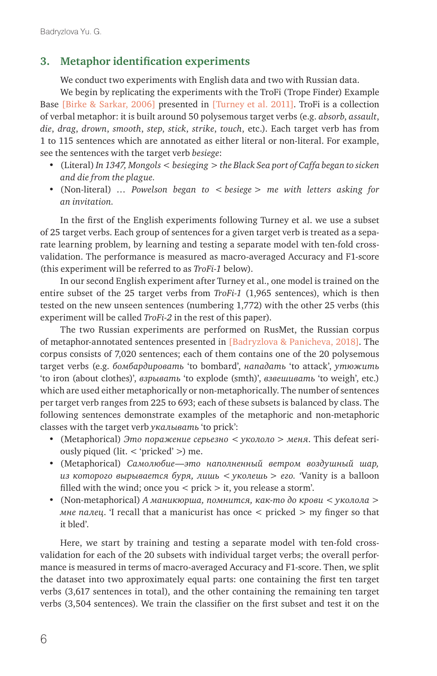# **3. Metaphor identification experiments**

We conduct two experiments with English data and two with Russian data.

We begin by replicating the experiments with the TroFi (Trope Finder) Example Base [Birke & Sarkar, 2006] presented in [Turney et al. 2011]. TroFi is a collection of verbal metaphor: it is built around 50 polysemous target verbs (e.g. *absorb*, *assault*, *die*, *drag*, *drown*, *smooth*, *step*, *stick*, *strike*, *touch*, etc.). Each target verb has from 1 to 115 sentences which are annotated as either literal or non-literal. For example, see the sentences with the target verb *besiege*:

- (Literal) *In 1347, Mongols < besieging > the Black Sea port of Caffa began to sicken and die from the plague.*
- (Non-literal) *… Powelson began to < besiege > me with letters asking for an invitation.*

In the first of the English experiments following Turney et al. we use a subset of 25 target verbs. Each group of sentences for a given target verb is treated as a separate learning problem, by learning and testing a separate model with ten-fold crossvalidation. The performance is measured as macro-averaged Accuracy and F1-score (this experiment will be referred to as *TroFi-1* below).

In our second English experiment after Turney et al., one model is trained on the entire subset of the 25 target verbs from *TroFi-1* (1,965 sentences), which is then tested on the new unseen sentences (numbering 1,772) with the other 25 verbs (this experiment will be called *TroFi-2* in the rest of this paper).

The two Russian experiments are performed on RusMet, the Russian corpus of metaphor-annotated sentences presented in [Badryzlova & Panicheva, 2018]. The corpus consists of 7,020 sentences; each of them contains one of the 20 polysemous target verbs (e.g. *бомбардировать* 'to bombard', *нападать* 'to attack', *утюжить* 'to iron (about clothes)', *взрывать* 'to explode (smth)', *взвешивать* 'to weigh', etc.) which are used either metaphorically or non-metaphorically. The number of sentences per target verb ranges from 225 to 693; each of these subsets is balanced by class. The following sentences demonstrate examples of the metaphoric and non-metaphoric classes with the target verb *укалывать* 'to prick':

- (Metaphorical) *Это поражение серьезно < укололо > меня*. This defeat seriously piqued (lit. < 'pricked' >) me.
- (Metaphorical) *Самолюбие—это наполненный ветром воздушный шар, из которого вырывается буря, лишь < уколешь > его. '*Vanity is a balloon filled with the wind; once you  $\langle$  prick  $>$  it, you release a storm'.
- (Non-metaphorical) *А маникюрша, помнится, как-то до крови < уколола > мне палец*. 'I recall that a manicurist has once < pricked > my finger so that it bled'.

Here, we start by training and testing a separate model with ten-fold crossvalidation for each of the 20 subsets with individual target verbs; the overall performance is measured in terms of macro-averaged Accuracy and F1-score. Then, we split the dataset into two approximately equal parts: one containing the first ten target verbs (3,617 sentences in total), and the other containing the remaining ten target verbs (3,504 sentences). We train the classifier on the first subset and test it on the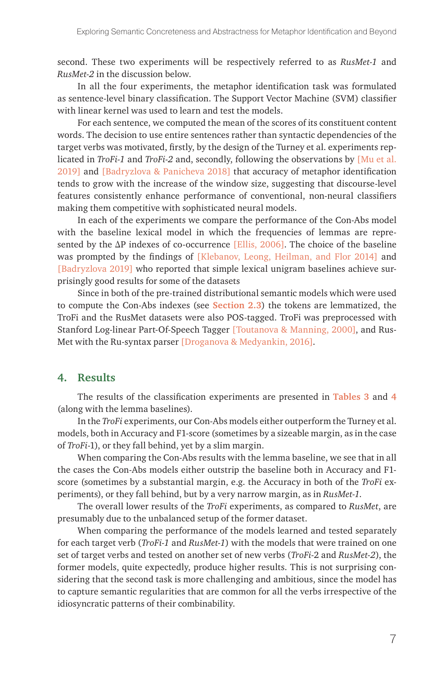second. These two experiments will be respectively referred to as *RusMet-1* and *RusMet-2* in the discussion below.

In all the four experiments, the metaphor identification task was formulated as sentence-level binary classification. The Support Vector Machine (SVM) classifier with linear kernel was used to learn and test the models.

For each sentence, we computed the mean of the scores of its constituent content words. The decision to use entire sentences rather than syntactic dependencies of the target verbs was motivated, firstly, by the design of the Turney et al. experiments replicated in *TroFi-1* and *TroFi-2* and, secondly, following the observations by [Mu et al. 2019] and [Badryzlova & Panicheva 2018] that accuracy of metaphor identification tends to grow with the increase of the window size, suggesting that discourse-level features consistently enhance performance of conventional, non-neural classifiers making them competitive with sophisticated neural models.

In each of the experiments we compare the performance of the Con-Abs model with the baseline lexical model in which the frequencies of lemmas are represented by the ΔP indexes of co-occurrence [Ellis, 2006]. The choice of the baseline was prompted by the findings of [Klebanov, Leong, Heilman, and Flor 2014] and [Badryzlova 2019] who reported that simple lexical unigram baselines achieve surprisingly good results for some of the datasets

Since in both of the pre-trained distributional semantic models which were used to compute the Con-Abs indexes (see **Section 2.3**) the tokens are lemmatized, the TroFi and the RusMet datasets were also POS-tagged. TroFi was preprocessed with Stanford Log-linear Part-Of-Speech Tagger [Toutanova & Manning, 2000], and Rus-Met with the Ru-syntax parser [Droganova & Medyankin, 2016].

#### **4. Results**

The results of the classification experiments are presented in **Tables 3** and **4** (along with the lemma baselines).

In the *TroFi* experiments, our Con-Abs models either outperform the Turney et al. models, both in Accuracy and F1-score (sometimes by a sizeable margin, as in the case of *TroFi*-1), or they fall behind, yet by a slim margin.

When comparing the Con-Abs results with the lemma baseline, we see that in all the cases the Con-Abs models either outstrip the baseline both in Accuracy and F1 score (sometimes by a substantial margin, e.g. the Accuracy in both of the *TroFi* experiments), or they fall behind, but by a very narrow margin, as in *RusMet-1*.

The overall lower results of the *TroFi* experiments, as compared to *RusMet*, are presumably due to the unbalanced setup of the former dataset.

When comparing the performance of the models learned and tested separately for each target verb (*TroFi-1* and *RusMet-1*) with the models that were trained on one set of target verbs and tested on another set of new verbs (*TroFi-*2 and *RusMet-2*), the former models, quite expectedly, produce higher results. This is not surprising considering that the second task is more challenging and ambitious, since the model has to capture semantic regularities that are common for all the verbs irrespective of the idiosyncratic patterns of their combinability.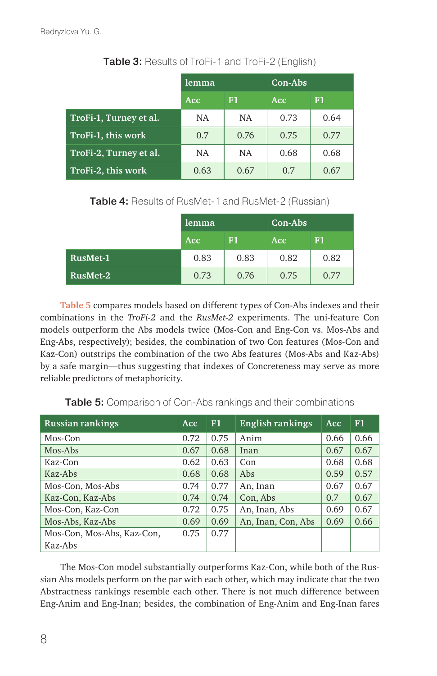|                        | lemma      |           | Con-Abs |      |  |
|------------------------|------------|-----------|---------|------|--|
|                        | <b>Acc</b> | F1        | Acc     | F1   |  |
| TroFi-1, Turney et al. | NA         | NA        | 0.73    | 0.64 |  |
| TroFi-1, this work     | 0.7        | 0.76      | 0.75    | 0.77 |  |
| TroFi-2, Turney et al. | NA.        | <b>NA</b> | 0.68    | 0.68 |  |
| TroFi-2, this work     | 0.63       | 0.67      | 0.7     | 0.67 |  |

### Table 3: Results of TroFi-1 and TroFi-2 (English)

Table 4: Results of RusMet-1 and RusMet-2 (Russian)

|          | lemma<br>F1<br>Acc |      | Con-Abs |      |  |
|----------|--------------------|------|---------|------|--|
|          |                    |      | Acc     | F1   |  |
| RusMet-1 | 0.83               | 0.83 | 0.82    | 0.82 |  |
| RusMet-2 | 0.73               | 0.76 | 0.75    | 0.77 |  |

**Table 5** compares models based on different types of Con-Abs indexes and their combinations in the *TroFi-2* and the *RusMet-2* experiments. The uni-feature Con models outperform the Abs models twice (Mos-Con and Eng-Con vs. Mos-Abs and Eng-Abs, respectively); besides, the combination of two Con features (Mos-Con and Kaz-Con) outstrips the combination of the two Abs features (Mos-Abs and Kaz-Abs) by a safe margin—thus suggesting that indexes of Concreteness may serve as more reliable predictors of metaphoricity.

| <b>Russian rankings</b><br><b>Acc</b> |      | F1   | English rankings   | <b>Acc</b> | F1   |
|---------------------------------------|------|------|--------------------|------------|------|
| Mos-Con                               | 0.72 | 0.75 | Anim               | 0.66       | 0.66 |
| Mos-Abs                               | 0.67 | 0.68 | Inan               | 0.67       | 0.67 |
| Kaz-Con                               | 0.62 | 0.63 | Con                | 0.68       | 0.68 |
| Kaz-Abs                               | 0.68 | 0.68 | Abs                | 0.59       | 0.57 |
| Mos-Con, Mos-Abs                      | 0.74 | 0.77 | An, Inan           | 0.67       | 0.67 |
| Kaz-Con, Kaz-Abs                      | 0.74 | 0.74 | Con, Abs           | 0.7        | 0.67 |
| Mos-Con, Kaz-Con                      | 0.72 | 0.75 | An, Inan, Abs      | 0.69       | 0.67 |
| Mos-Abs, Kaz-Abs                      | 0.69 | 0.69 | An, Inan, Con, Abs | 0.69       | 0.66 |
| Mos-Con, Mos-Abs, Kaz-Con,            | 0.75 | 0.77 |                    |            |      |
| Kaz-Abs                               |      |      |                    |            |      |

**Table 5:** Comparison of Con-Abs rankings and their combinations

The Mos-Con model substantially outperforms Kaz-Con, while both of the Russian Abs models perform on the par with each other, which may indicate that the two Abstractness rankings resemble each other. There is not much difference between Eng-Anim and Eng-Inan; besides, the combination of Eng-Anim and Eng-Inan fares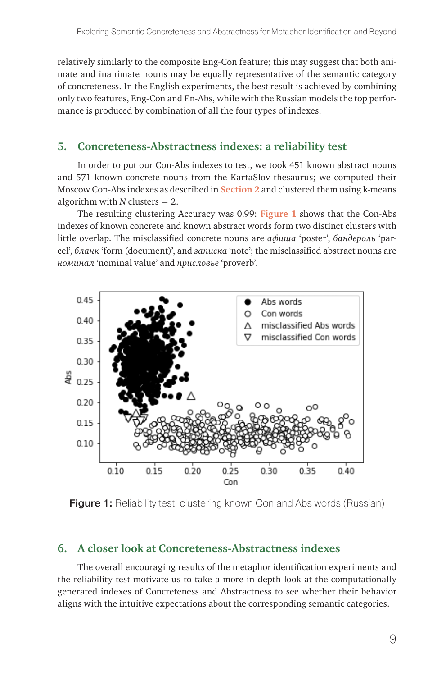relatively similarly to the composite Eng-Con feature; this may suggest that both animate and inanimate nouns may be equally representative of the semantic category of concreteness. In the English experiments, the best result is achieved by combining only two features, Eng-Con and En-Abs, while with the Russian models the top performance is produced by combination of all the four types of indexes.

# **5. Concreteness-Abstractness indexes: a reliability test**

In order to put our Con-Abs indexes to test, we took 451 known abstract nouns and 571 known concrete nouns from the KartaSlov thesaurus; we computed their Moscow Con-Abs indexes as described in **Section 2** and clustered them using k-means algorithm with  $N$  clusters  $= 2$ .

The resulting clustering Accuracy was 0.99: **Figure 1** shows that the Con-Abs indexes of known concrete and known abstract words form two distinct clusters with little overlap. The misclassified concrete nouns are *афиша* 'poster', *бандероль* 'parcel', *бланк* 'form (document)', and *записка* 'note'; the misclassified abstract nouns are *номинал* 'nominal value' and *присловье* 'proverb'.



**Figure 1:** Reliability test: clustering known Con and Abs words (Russian)

# **6. A closer look at Concreteness-Abstractness indexes**

The overall encouraging results of the metaphor identification experiments and the reliability test motivate us to take a more in-depth look at the computationally generated indexes of Concreteness and Abstractness to see whether their behavior aligns with the intuitive expectations about the corresponding semantic categories.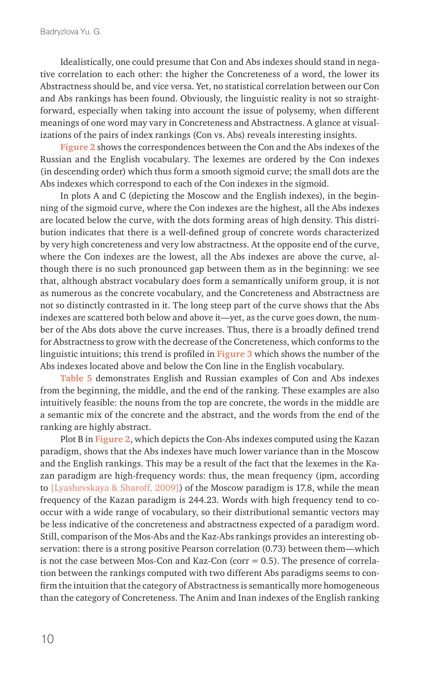Idealistically, one could presume that Con and Abs indexes should stand in negative correlation to each other: the higher the Concreteness of a word, the lower its Abstractness should be, and vice versa. Yet, no statistical correlation between our Con and Abs rankings has been found. Obviously, the linguistic reality is not so straightforward, especially when taking into account the issue of polysemy, when different meanings of one word may vary in Concreteness and Abstractness. A glance at visualizations of the pairs of index rankings (Con vs. Abs) reveals interesting insights.

**Figure 2** shows the correspondences between the Con and the Abs indexes of the Russian and the English vocabulary. The lexemes are ordered by the Con indexes (in descending order) which thus form a smooth sigmoid curve; the small dots are the Abs indexes which correspond to each of the Con indexes in the sigmoid.

In plots A and C (depicting the Moscow and the English indexes), in the beginning of the sigmoid curve, where the Con indexes are the highest, all the Abs indexes are located below the curve, with the dots forming areas of high density. This distribution indicates that there is a well-defined group of concrete words characterized by very high concreteness and very low abstractness. At the opposite end of the curve, where the Con indexes are the lowest, all the Abs indexes are above the curve, although there is no such pronounced gap between them as in the beginning: we see that, although abstract vocabulary does form a semantically uniform group, it is not as numerous as the concrete vocabulary, and the Concreteness and Abstractness are not so distinctly contrasted in it. The long steep part of the curve shows that the Abs indexes are scattered both below and above it—yet, as the curve goes down, the number of the Abs dots above the curve increases. Thus, there is a broadly defined trend for Abstractness to grow with the decrease of the Concreteness, which conforms to the linguistic intuitions; this trend is profiled in **Figure 3** which shows the number of the Abs indexes located above and below the Con line in the English vocabulary.

**Table 5** demonstrates English and Russian examples of Con and Abs indexes from the beginning, the middle, and the end of the ranking. These examples are also intuitively feasible: the nouns from the top are concrete, the words in the middle are a semantic mix of the concrete and the abstract, and the words from the end of the ranking are highly abstract.

Plot B in **Figure 2**, which depicts the Con-Abs indexes computed using the Kazan paradigm, shows that the Abs indexes have much lower variance than in the Moscow and the English rankings. This may be a result of the fact that the lexemes in the Kazan paradigm are high-frequency words: thus, the mean frequency (ipm, according to [Lyashevskaya & Sharoff, 2009]) of the Moscow paradigm is 17.8, while the mean frequency of the Kazan paradigm is 244.23. Words with high frequency tend to cooccur with a wide range of vocabulary, so their distributional semantic vectors may be less indicative of the concreteness and abstractness expected of a paradigm word. Still, comparison of the Mos-Abs and the Kaz-Abs rankings provides an interesting observation: there is a strong positive Pearson correlation (0.73) between them—which is not the case between Mos-Con and Kaz-Con (corr  $= 0.5$ ). The presence of correlation between the rankings computed with two different Abs paradigms seems to confirm the intuition that the category of Abstractness is semantically more homogeneous than the category of Concreteness. The Anim and Inan indexes of the English ranking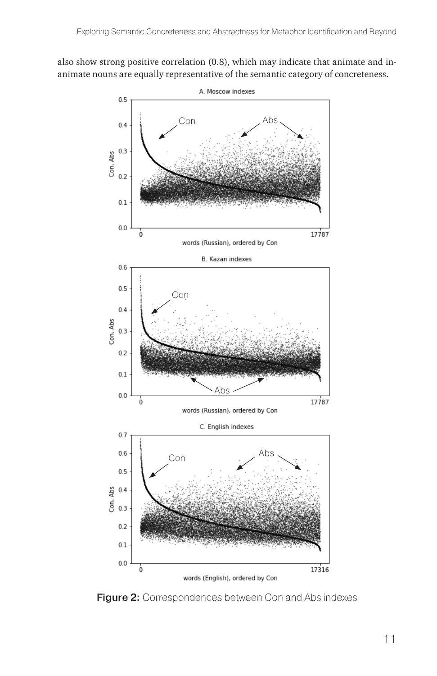also show strong positive correlation (0.8), which may indicate that animate and inanimate nouns are equally representative of the semantic category of concreteness.



Figure 2: Correspondences between Con and Abs indexes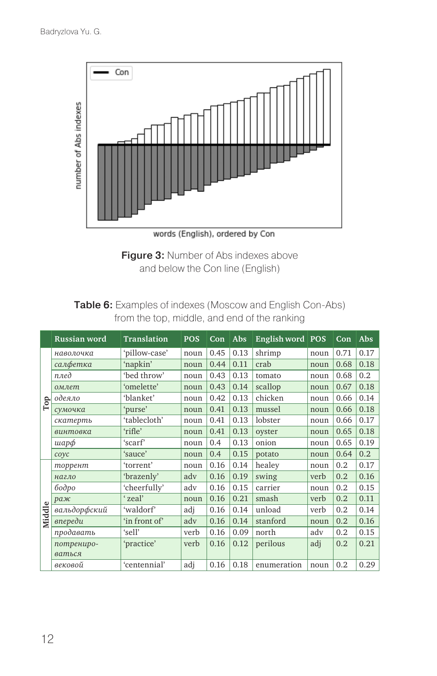

Figure 3: Number of Abs indexes above and below the Con line (English)

# Table 6: Examples of indexes (Moscow and English Con-Abs) from the top, middle, and end of the ranking

|              | Russian word | Translation   | <b>POS</b> | Con  | Abs  | English word   POS |      | Con  | Abs  |
|--------------|--------------|---------------|------------|------|------|--------------------|------|------|------|
|              | наволочка    | 'pillow-case' | noun       | 0.45 | 0.13 | shrimp             | noun | 0.71 | 0.17 |
|              | салфетка     | 'napkin'      | noun       | 0.44 | 0.11 | crab               | noun | 0.68 | 0.18 |
|              | плед         | 'bed throw'   | noun       | 0.43 | 0.13 | tomato             | noun | 0.68 | 0.2  |
|              | омлет        | 'omelette'    | noun       | 0.43 | 0.14 | scallop            | noun | 0.67 | 0.18 |
| $_{\rm Top}$ | одеяло       | 'blanket'     | noun       | 0.42 | 0.13 | chicken            | noun | 0.66 | 0.14 |
|              | сумочка      | 'purse'       | noun       | 0.41 | 0.13 | mussel             | noun | 0.66 | 0.18 |
|              | скатерть     | 'tablecloth'  | noun       | 0.41 | 0.13 | lobster            | noun | 0.66 | 0.17 |
|              | винтовка     | 'rifle'       | noun       | 0.41 | 0.13 | oyster             | noun | 0.65 | 0.18 |
|              | шарф         | 'scarf'       | noun       | 0.4  | 0.13 | onion              | noun | 0.65 | 0.19 |
|              | coyc         | 'sauce'       | noun       | 0.4  | 0.15 | potato             | noun | 0.64 | 0.2  |
|              | торрент      | 'torrent'     | noun       | 0.16 | 0.14 | healey             | noun | 0.2  | 0.17 |
|              | нагло        | 'brazenly'    | adv        | 0.16 | 0.19 | swing              | verb | 0.2  | 0.16 |
|              | бодро        | 'cheerfully'  | adv        | 0.16 | 0.15 | carrier            | noun | 0.2  | 0.15 |
|              | раж          | 'zeal'        | noun       | 0.16 | 0.21 | smash              | verb | 0.2  | 0.11 |
| Middle       | вальдорфский | 'waldorf'     | adi        | 0.16 | 0.14 | unload             | verb | 0.2  | 0.14 |
|              | впереди      | 'in front of' | adv        | 0.16 | 0.14 | stanford           | noun | 0.2  | 0.16 |
|              | продавать    | 'sell'        | verb       | 0.16 | 0.09 | north              | adv  | 0.2  | 0.15 |
|              | потрениро-   | 'practice'    | verb       | 0.16 | 0.12 | perilous           | adj  | 0.2  | 0.21 |
|              | ваться       |               |            |      |      |                    |      |      |      |
|              | вековой      | 'centennial'  | adj        | 0.16 | 0.18 | enumeration        | noun | 0.2  | 0.29 |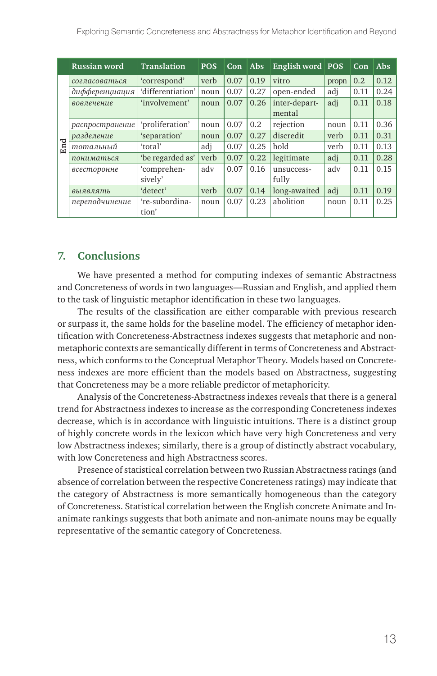|     | Russian word    | <b>Translation</b>      | <b>POS</b> | Con  | <b>Abs</b> | English word POS        |       | Con  | Abs  |
|-----|-----------------|-------------------------|------------|------|------------|-------------------------|-------|------|------|
|     | согласоваться   | 'correspond'            | verb       | 0.07 | 0.19       | vitro                   | propn | 0.2  | 0.12 |
|     | дифференциация  | 'differentiation'       | noun       | 0.07 | 0.27       | open-ended              | adj   | 0.11 | 0.24 |
|     | вовлечение      | 'involvement'           | noun       | 0.07 | 0.26       | inter-depart-<br>mental | adj   | 0.11 | 0.18 |
|     | распространение | 'proliferation'         | noun       | 0.07 | 0.2        | rejection               | noun  | 0.11 | 0.36 |
|     | разделение      | 'separation'            | noun       | 0.07 | 0.27       | discredit               | verb  | 0.11 | 0.31 |
| End | тотальный       | 'total'                 | adi        | 0.07 | 0.25       | hold                    | verb  | 0.11 | 0.13 |
|     | пониматься      | 'be regarded as'        | verb       | 0.07 | 0.22       | legitimate              | adj   | 0.11 | 0.28 |
|     | всесторонне     | 'comprehen-<br>sively'  | adv        | 0.07 | 0.16       | unsuccess-<br>fully     | adv   | 0.11 | 0.15 |
|     | выявлять        | 'detect'                | verb       | 0.07 | 0.14       | long-awaited            | adj   | 0.11 | 0.19 |
|     | переподчинение  | 're-subordina-<br>tion' | noun       | 0.07 | 0.23       | abolition               | noun  | 0.11 | 0.25 |

### **7. Conclusions**

We have presented a method for computing indexes of semantic Abstractness and Concreteness of words in two languages—Russian and English, and applied them to the task of linguistic metaphor identification in these two languages.

The results of the classification are either comparable with previous research or surpass it, the same holds for the baseline model. The efficiency of metaphor identification with Concreteness-Abstractness indexes suggests that metaphoric and nonmetaphoric contexts are semantically different in terms of Concreteness and Abstractness, which conforms to the Conceptual Metaphor Theory. Models based on Concreteness indexes are more efficient than the models based on Abstractness, suggesting that Concreteness may be a more reliable predictor of metaphoricity.

Analysis of the Concreteness-Abstractness indexes reveals that there is a general trend for Abstractness indexes to increase as the corresponding Concreteness indexes decrease, which is in accordance with linguistic intuitions. There is a distinct group of highly concrete words in the lexicon which have very high Concreteness and very low Abstractness indexes; similarly, there is a group of distinctly abstract vocabulary, with low Concreteness and high Abstractness scores.

Presence of statistical correlation between two Russian Abstractness ratings (and absence of correlation between the respective Concreteness ratings) may indicate that the category of Abstractness is more semantically homogeneous than the category of Concreteness. Statistical correlation between the English concrete Animate and Inanimate rankings suggests that both animate and non-animate nouns may be equally representative of the semantic category of Concreteness.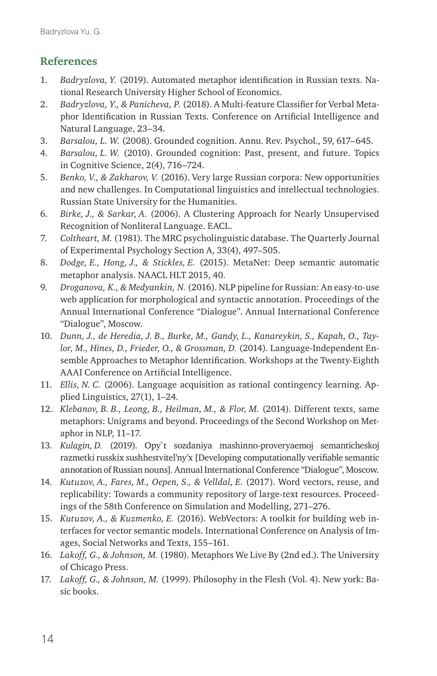# **References**

- 1. *Badryzlova, Y.* (2019). Automated metaphor identification in Russian texts. National Research University Higher School of Economics.
- 2. *Badryzlova, Y., & Panicheva, P.* (2018). A Multi-feature Classifier for Verbal Metaphor Identification in Russian Texts. Conference on Artificial Intelligence and Natural Language, 23–34.
- 3. *Barsalou, L. W.* (2008). Grounded cognition. Annu. Rev. Psychol., 59, 617–645.
- 4. *Barsalou, L. W.* (2010). Grounded cognition: Past, present, and future. Topics in Cognitive Science, 2(4), 716–724.
- 5. *Benko, V., & Zakharov, V.* (2016). Very large Russian corpora: New opportunities and new challenges. In Computational linguistics and intellectual technologies. Russian State University for the Humanities.
- 6. *Birke, J., & Sarkar, A.* (2006). A Clustering Approach for Nearly Unsupervised Recognition of Nonliteral Language. EACL.
- 7. *Coltheart, M.* (1981). The MRC psycholinguistic database. The Quarterly Journal of Experimental Psychology Section A, 33(4), 497–505.
- 8. *Dodge, E., Hong, J., & Stickles, E.* (2015). MetaNet: Deep semantic automatic metaphor analysis. NAACL HLT 2015, 40.
- 9. *Droganova, K., & Medyankin, N.* (2016). NLP pipeline for Russian: An easy-to-use web application for morphological and syntactic annotation. Proceedings of the Annual International Conference "Dialogue". Annual International Conference "Dialogue", Moscow.
- 10. *Dunn, J., de Heredia, J. B., Burke, M., Gandy, L., Kanareykin, S., Kapah, O., Taylor, M., Hines, D., Frieder, O., & Grossman, D.* (2014). Language-Independent Ensemble Approaches to Metaphor Identification. Workshops at the Twenty-Eighth AAAI Conference on Artificial Intelligence.
- 11. *Ellis, N. C.* (2006). Language acquisition as rational contingency learning. Applied Linguistics, 27(1), 1–24.
- 12. *Klebanov, B. B., Leong, B., Heilman, M., & Flor, M.* (2014). Different texts, same metaphors: Unigrams and beyond. Proceedings of the Second Workshop on Metaphor in NLP, 11–17.
- 13. *Kulagin, D.* (2019). Opy`t sozdaniya mashinno-proveryaemoj semanticheskoj razmetki russkix sushhestvitel'ny'x [Developing computationally verifiable semantic annotation of Russian nouns]. Annual International Conference "Dialogue", Moscow.
- 14. *Kutuzov, A., Fares, M., Oepen, S., & Velldal, E.* (2017). Word vectors, reuse, and replicability: Towards a community repository of large-text resources. Proceedings of the 58th Conference on Simulation and Modelling, 271–276.
- 15. *Kutuzov, A., & Kuzmenko, E.* (2016). WebVectors: A toolkit for building web interfaces for vector semantic models. International Conference on Analysis of Images, Social Networks and Texts, 155–161.
- 16. *Lakoff, G., & Johnson, M.* (1980). Metaphors We Live By (2nd ed.). The University of Chicago Press.
- 17. *Lakoff, G., & Johnson, M.* (1999). Philosophy in the Flesh (Vol. 4). New york: Basic books.